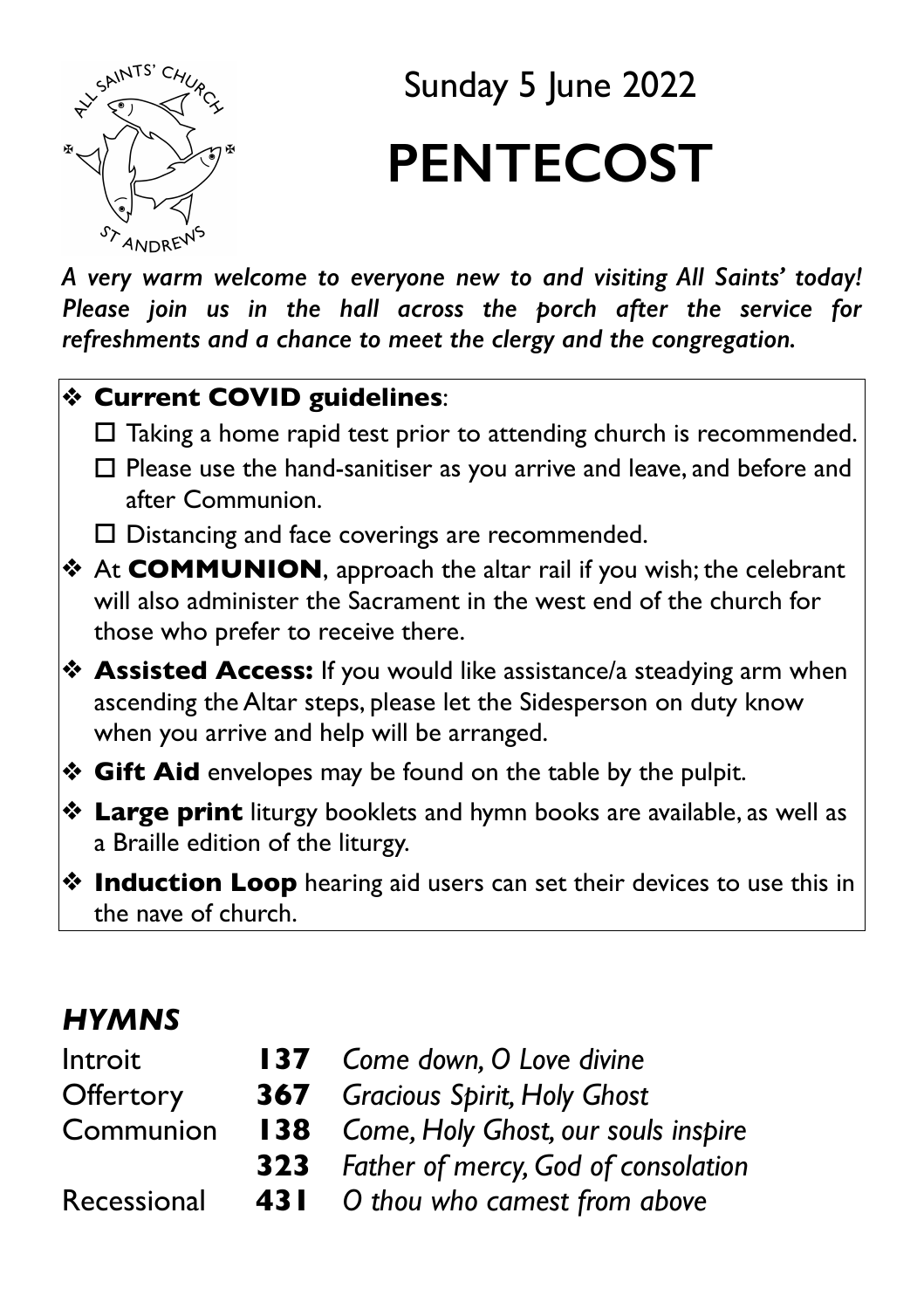

# Sunday 5 June 2022 **PENTECOST**

*A very warm welcome to everyone new to and visiting All Saints' today! Please join us in the hall across the porch after the service for refreshments and a chance to meet the clergy and the congregation.* 

#### ❖ **Current COVID guidelines**:

- $\Box$  Taking a home rapid test prior to attending church is recommended.
- $\Box$  Please use the hand-sanitiser as you arrive and leave, and before and after Communion.
- $\Box$  Distancing and face coverings are recommended.
- ❖ At **COMMUNION**, approach the altar rail if you wish; the celebrant will also administer the Sacrament in the west end of the church for those who prefer to receive there.
- ❖ **Assisted Access:** If you would like assistance/a steadying arm when ascending the Altar steps, please let the Sidesperson on duty know when you arrive and help will be arranged.
- ❖ **Gift Aid** envelopes may be found on the table by the pulpit.
- ❖ **Large print** liturgy booklets and hymn books are available, as well as a Braille edition of the liturgy.
- ❖ **Induction Loop** hearing aid users can set their devices to use this in the nave of church.

## *HYMNS*

| Introit     |                                                | <b>137</b> Come down, O Love divine     |  |
|-------------|------------------------------------------------|-----------------------------------------|--|
| Offertory   |                                                | <b>367</b> Gracious Spirit, Holy Ghost  |  |
| Communion   | <b>138</b> Come, Holy Ghost, our souls inspire |                                         |  |
|             |                                                | 323 Father of mercy, God of consolation |  |
| Recessional |                                                | 431 O thou who camest from above        |  |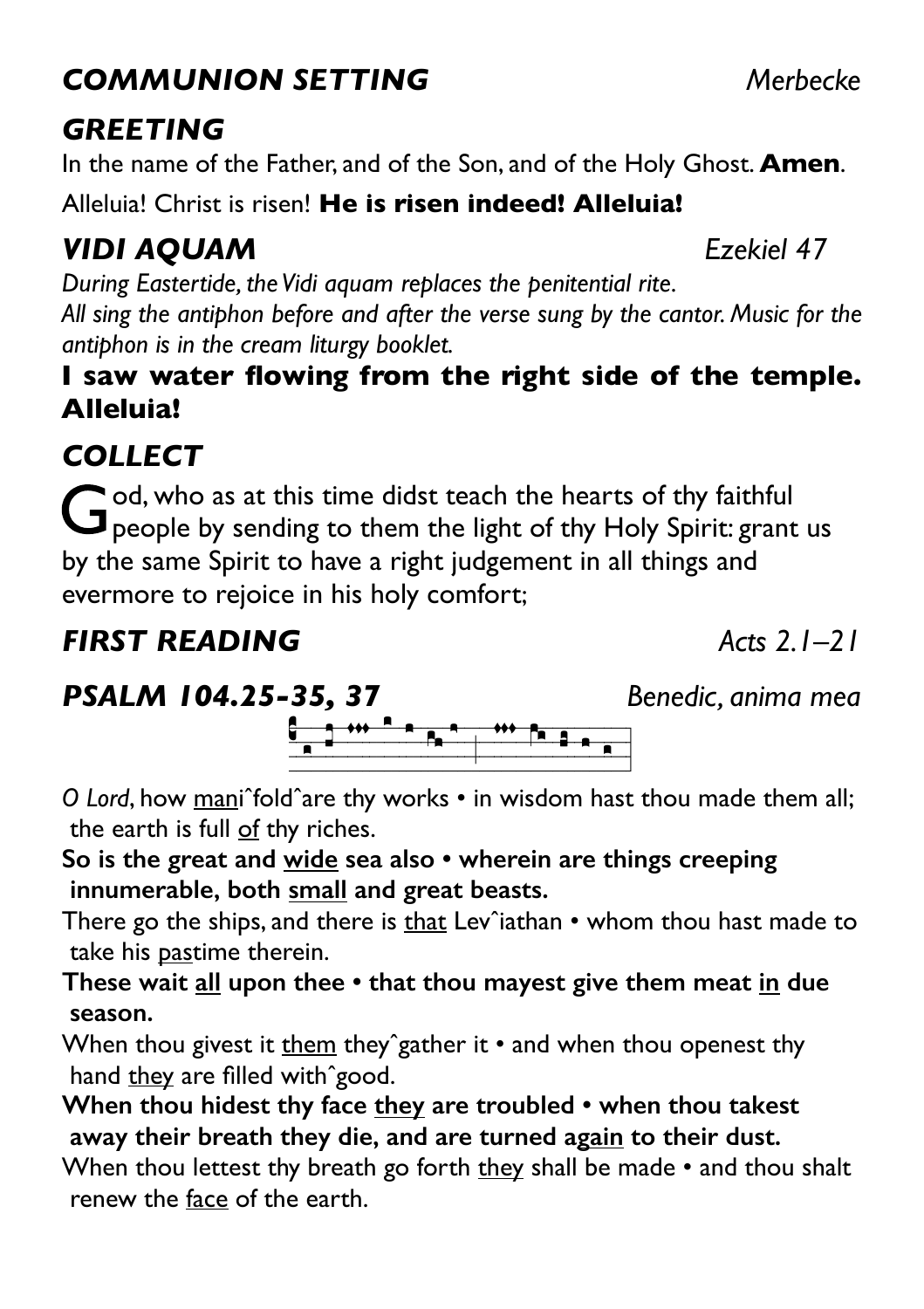# *COMMUNION SETTING Merbecke*

# *GREETING*

In the name of the Father, and of the Son, and of the Holy Ghost. **Amen**.

Alleluia! Christ is risen! **He is risen indeed! Alleluia!**

# *VIDI AQUAM Ezekiel 47*

*During Eastertide, the Vidi aquam replaces the penitential rite. All sing the antiphon before and after the verse sung by the cantor. Music for the antiphon is in the cream liturgy booklet.* 

#### **I saw water flowing from the right side of the temple. Alleluia!**

# *COLLECT*

God, who as at this time didst teach the hearts of thy faithful **J** people by sending to them the light of thy Holy Spirit: grant us by the same Spirit to have a right judgement in all things and evermore to rejoice in his holy comfort;

# *FIRST READING Acts 2.1–21*

*PSALM 104.25-35, 37 Benedic, anima mea*

!===============;============| *O Lord*, how maniˆfoldˆare thy works • in wisdom hast thou made them all; the earth is full of thy riches.

**So is the great and wide sea also • wherein are things creeping innumerable, both small and great beasts.** 

There go the ships, and there is that Lev^iathan  $\cdot$  whom thou hast made to take his pastime therein.

**These wait all upon thee • that thou mayest give them meat in due season.** 

When thou givest it them they^gather it  $\cdot$  and when thou openest thy hand they are filled with^good.

**When thou hidest thy face they are troubled • when thou takest away their breath they die, and are turned again to their dust.** 

When thou lettest thy breath go forth they shall be made • and thou shalt renew the face of the earth.

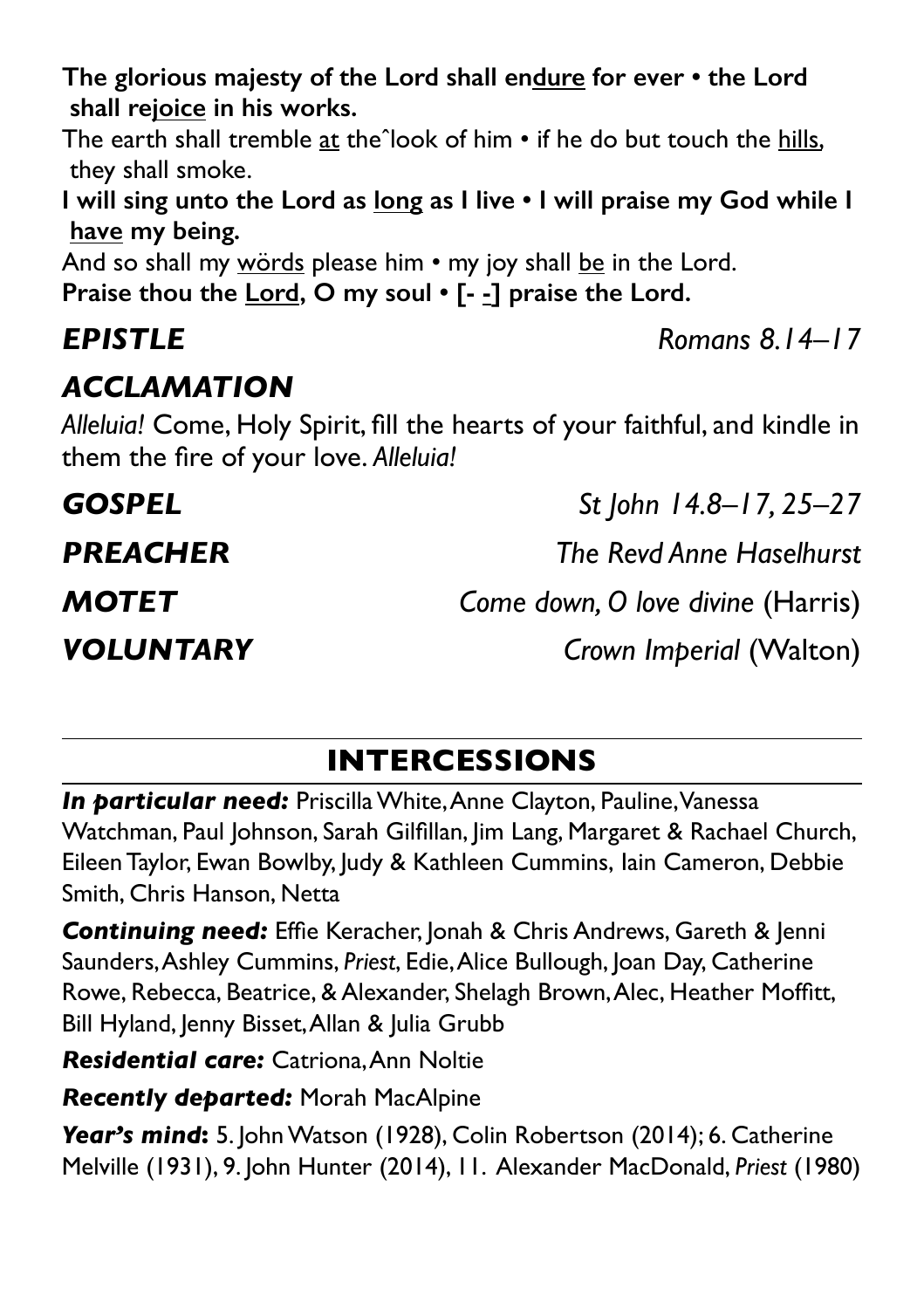**The glorious majesty of the Lord shall endure for ever • the Lord shall rejoice in his works.** 

The earth shall tremble at the^look of him • if he do but touch the hills, they shall smoke.

**I will sing unto the Lord as long as I live • I will praise my God while I have my being.** 

And so shall my words please him • my joy shall be in the Lord. **Praise thou the Lord, O my soul • [- -] praise the Lord.** 

## *ACCLAMATION*

*Alleluia!* Come, Holy Spirit, fill the hearts of your faithful, and kindle in them the fire of your love. *Alleluia!*

*GOSPEL St John 14.8–17, 25–27 PREACHER The Revd Anne Haselhurst MOTET Come down, O love divine* (Harris) *VOLUNTARY Crown Imperial* (Walton)

# **INTERCESSIONS**

**In particular need:** Priscilla White, Anne Clayton, Pauline, Vanessa Watchman, Paul Johnson, Sarah Gilfillan, Jim Lang, Margaret & Rachael Church, Eileen Taylor, Ewan Bowlby, Judy & Kathleen Cummins, Iain Cameron, Debbie Smith, Chris Hanson, Netta

**Continuing need:** Effie Keracher, Jonah & Chris Andrews, Gareth & Jenni Saunders, Ashley Cummins, *Priest*, Edie, Alice Bullough, Joan Day, Catherine Rowe, Rebecca, Beatrice, & Alexander, Shelagh Brown, Alec, Heather Moffitt, Bill Hyland, Jenny Bisset, Allan & Julia Grubb

*Residential care:* Catriona, Ann Noltie

*Recently departed:* Morah MacAlpine

*Year's mind***:** 5. John Watson (1928), Colin Robertson (2014); 6. Catherine Melville (1931), 9. John Hunter (2014), 11. Alexander MacDonald, *Priest* (1980)

*EPISTLE Romans 8.14–17*